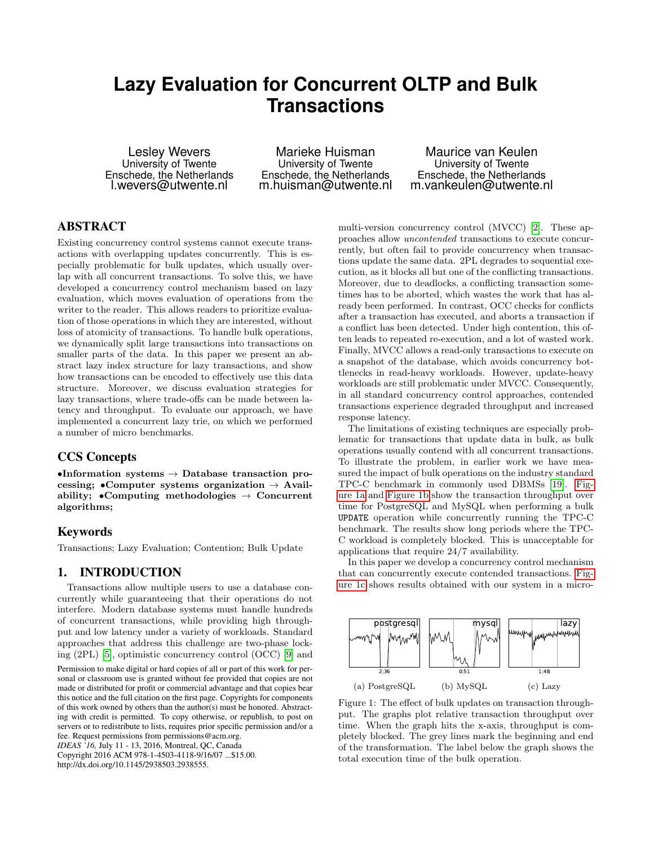# **Lazy Evaluation for Concurrent OLTP and Bulk Transactions**

Lesley Wevers University of Twente Enschede, the Netherlands l.wevers@utwente.nl

Marieke Huisman University of Twente Enschede, the Netherlands m.huisman@utwente.nl

Maurice van Keulen University of Twente Enschede, the Netherlands m.vankeulen@utwente.nl

# ABSTRACT

Existing concurrency control systems cannot execute transactions with overlapping updates concurrently. This is especially problematic for bulk updates, which usually overlap with all concurrent transactions. To solve this, we have developed a concurrency control mechanism based on lazy evaluation, which moves evaluation of operations from the writer to the reader. This allows readers to prioritize evaluation of those operations in which they are interested, without loss of atomicity of transactions. To handle bulk operations, we dynamically split large transactions into transactions on smaller parts of the data. In this paper we present an abstract lazy index structure for lazy transactions, and show how transactions can be encoded to effectively use this data structure. Moreover, we discuss evaluation strategies for lazy transactions, where trade-offs can be made between latency and throughput. To evaluate our approach, we have implemented a concurrent lazy trie, on which we performed a number of micro benchmarks.

### CCS Concepts

 $\bullet$ Information systems  $\to$  Database transaction processing; •Computer systems organization  $\rightarrow$  Availability; •Computing methodologies  $\rightarrow$  Concurrent algorithms;

#### Keywords

Transactions; Lazy Evaluation; Contention; Bulk Update

#### 1. INTRODUCTION

Transactions allow multiple users to use a database concurrently while guaranteeing that their operations do not interfere. Modern database systems must handle hundreds of concurrent transactions, while providing high throughput and low latency under a variety of workloads. Standard approaches that address this challenge are two-phase locking (2PL) [\[5\]](#page-9-0), optimistic concurrency control (OCC) [\[9\]](#page-9-1) and

Permission to make digital or hard copies of all or part of this work for personal or classroom use is granted without fee provided that copies are not made or distributed for profit or commercial advantage and that copies bear this notice and the full citation on the first page. Copyrights for components of this work owned by others than the author(s) must be honored. Abstracting with credit is permitted. To copy otherwise, or republish, to post on servers or to redistribute to lists, requires prior specific permission and/or a fee. Request permissions from permissions@acm.org.

*IDEAS '16,* July 11 - 13, 2016, Montreal, QC, Canada

Copyright 2016 ACM 978-1-4503-4118-9/16/07 ...\$15.00. http://dx.doi.org/10.1145/2938503.2938555.

multi-version concurrency control (MVCC) [\[2\]](#page-9-2). These approaches allow uncontended transactions to execute concurrently, but often fail to provide concurrency when transactions update the same data. 2PL degrades to sequential execution, as it blocks all but one of the conflicting transactions. Moreover, due to deadlocks, a conflicting transaction sometimes has to be aborted, which wastes the work that has already been performed. In contrast, OCC checks for conflicts after a transaction has executed, and aborts a transaction if a conflict has been detected. Under high contention, this often leads to repeated re-execution, and a lot of wasted work. Finally, MVCC allows a read-only transactions to execute on a snapshot of the database, which avoids concurrency bottlenecks in read-heavy workloads. However, update-heavy workloads are still problematic under MVCC. Consequently, in all standard concurrency control approaches, contended transactions experience degraded throughput and increased response latency.

The limitations of existing techniques are especially problematic for transactions that update data in bulk, as bulk operations usually contend with all concurrent transactions. To illustrate the problem, in earlier work we have measured the impact of bulk operations on the industry standard TPC-C benchmark in commonly used DBMSs [\[19\]](#page-9-3). [Fig](#page-0-0)[ure 1a](#page-0-0) and [Figure 1b](#page-0-0) show the transaction throughput over time for PostgreSQL and MySQL when performing a bulk UPDATE operation while concurrently running the TPC-C benchmark. The results show long periods where the TPC-C workload is completely blocked. This is unacceptable for applications that require 24/7 availability.

In this paper we develop a concurrency control mechanism that can concurrently execute contended transactions. [Fig](#page-0-0)[ure 1c](#page-0-0) shows results obtained with our system in a micro-

<span id="page-0-0"></span>

Figure 1: The effect of bulk updates on transaction throughput. The graphs plot relative transaction throughput over time. When the graph hits the x-axis, throughput is completely blocked. The grey lines mark the beginning and end of the transformation. The label below the graph shows the total execution time of the bulk operation.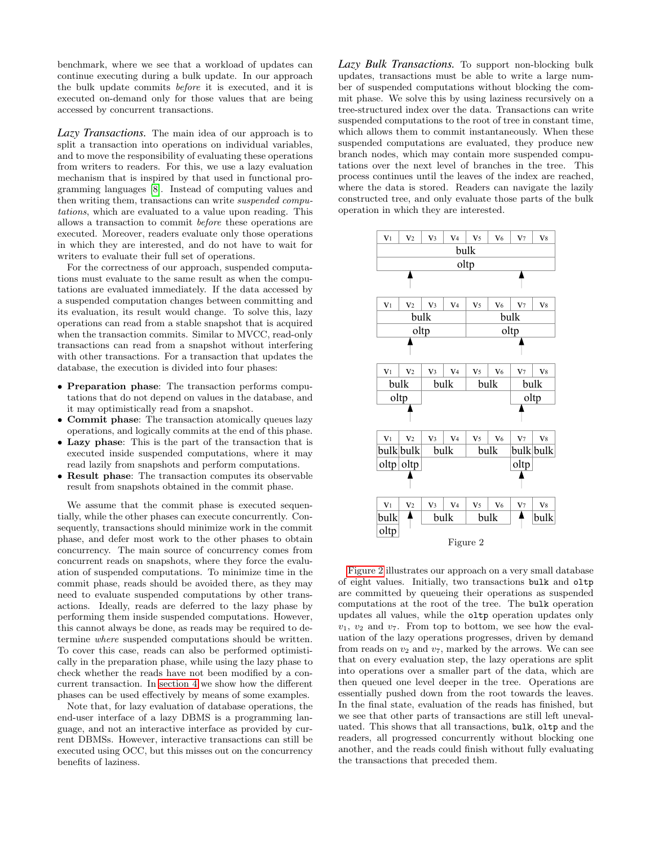benchmark, where we see that a workload of updates can continue executing during a bulk update. In our approach the bulk update commits before it is executed, and it is executed on-demand only for those values that are being accessed by concurrent transactions.

*Lazy Transactions.* The main idea of our approach is to split a transaction into operations on individual variables, and to move the responsibility of evaluating these operations from writers to readers. For this, we use a lazy evaluation mechanism that is inspired by that used in functional programming languages [\[8\]](#page-9-4). Instead of computing values and then writing them, transactions can write suspended computations, which are evaluated to a value upon reading. This allows a transaction to commit before these operations are executed. Moreover, readers evaluate only those operations in which they are interested, and do not have to wait for writers to evaluate their full set of operations.

For the correctness of our approach, suspended computations must evaluate to the same result as when the computations are evaluated immediately. If the data accessed by a suspended computation changes between committing and its evaluation, its result would change. To solve this, lazy operations can read from a stable snapshot that is acquired when the transaction commits. Similar to MVCC, read-only transactions can read from a snapshot without interfering with other transactions. For a transaction that updates the database, the execution is divided into four phases:

- Preparation phase: The transaction performs computations that do not depend on values in the database, and it may optimistically read from a snapshot.
- Commit phase: The transaction atomically queues lazy operations, and logically commits at the end of this phase.
- Lazy phase: This is the part of the transaction that is executed inside suspended computations, where it may read lazily from snapshots and perform computations.
- Result phase: The transaction computes its observable result from snapshots obtained in the commit phase.

We assume that the commit phase is executed sequentially, while the other phases can execute concurrently. Consequently, transactions should minimize work in the commit phase, and defer most work to the other phases to obtain concurrency. The main source of concurrency comes from concurrent reads on snapshots, where they force the evaluation of suspended computations. To minimize time in the commit phase, reads should be avoided there, as they may need to evaluate suspended computations by other transactions. Ideally, reads are deferred to the lazy phase by performing them inside suspended computations. However, this cannot always be done, as reads may be required to determine where suspended computations should be written. To cover this case, reads can also be performed optimistically in the preparation phase, while using the lazy phase to check whether the reads have not been modified by a concurrent transaction. In [section 4](#page-3-0) we show how the different phases can be used effectively by means of some examples.

Note that, for lazy evaluation of database operations, the end-user interface of a lazy DBMS is a programming language, and not an interactive interface as provided by current DBMSs. However, interactive transactions can still be executed using OCC, but this misses out on the concurrency benefits of laziness.

*Lazy Bulk Transactions.* To support non-blocking bulk updates, transactions must be able to write a large number of suspended computations without blocking the commit phase. We solve this by using laziness recursively on a tree-structured index over the data. Transactions can write suspended computations to the root of tree in constant time, which allows them to commit instantaneously. When these suspended computations are evaluated, they produce new branch nodes, which may contain more suspended computations over the next level of branches in the tree. This process continues until the leaves of the index are reached, where the data is stored. Readers can navigate the lazily constructed tree, and only evaluate those parts of the bulk operation in which they are interested.

<span id="page-1-0"></span>

[Figure 2](#page-1-0) illustrates our approach on a very small database of eight values. Initially, two transactions bulk and oltp are committed by queueing their operations as suspended computations at the root of the tree. The bulk operation updates all values, while the oltp operation updates only  $v_1, v_2$  and  $v_7$ . From top to bottom, we see how the evaluation of the lazy operations progresses, driven by demand from reads on  $v_2$  and  $v_7$ , marked by the arrows. We can see that on every evaluation step, the lazy operations are split into operations over a smaller part of the data, which are then queued one level deeper in the tree. Operations are essentially pushed down from the root towards the leaves. In the final state, evaluation of the reads has finished, but we see that other parts of transactions are still left unevaluated. This shows that all transactions, bulk, oltp and the readers, all progressed concurrently without blocking one another, and the reads could finish without fully evaluating the transactions that preceded them.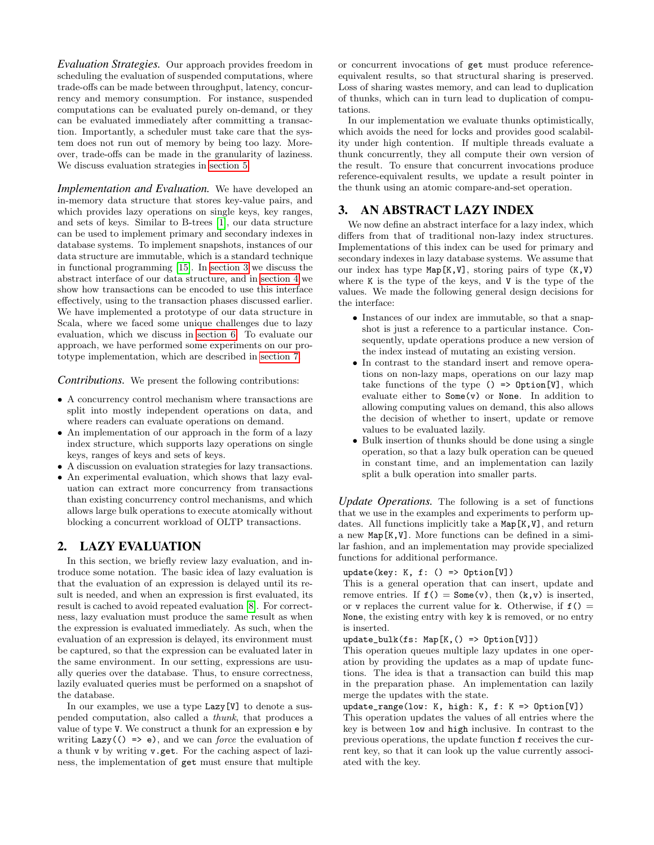*Evaluation Strategies.* Our approach provides freedom in scheduling the evaluation of suspended computations, where trade-offs can be made between throughput, latency, concurrency and memory consumption. For instance, suspended computations can be evaluated purely on-demand, or they can be evaluated immediately after committing a transaction. Importantly, a scheduler must take care that the system does not run out of memory by being too lazy. Moreover, trade-offs can be made in the granularity of laziness. We discuss evaluation strategies in [section 5.](#page-4-0)

*Implementation and Evaluation.* We have developed an in-memory data structure that stores key-value pairs, and which provides lazy operations on single keys, key ranges, and sets of keys. Similar to B-trees [\[1\]](#page-9-5), our data structure can be used to implement primary and secondary indexes in database systems. To implement snapshots, instances of our data structure are immutable, which is a standard technique in functional programming [\[15\]](#page-9-6). In [section 3](#page-2-0) we discuss the abstract interface of our data structure, and in [section 4](#page-3-0) we show how transactions can be encoded to use this interface effectively, using to the transaction phases discussed earlier. We have implemented a prototype of our data structure in Scala, where we faced some unique challenges due to lazy evaluation, which we discuss in [section 6.](#page-4-1) To evaluate our approach, we have performed some experiments on our prototype implementation, which are described in [section 7.](#page-5-0)

*Contributions.* We present the following contributions:

- A concurrency control mechanism where transactions are split into mostly independent operations on data, and where readers can evaluate operations on demand.
- An implementation of our approach in the form of a lazy index structure, which supports lazy operations on single keys, ranges of keys and sets of keys.
- A discussion on evaluation strategies for lazy transactions.
- An experimental evaluation, which shows that lazy evaluation can extract more concurrency from transactions than existing concurrency control mechanisms, and which allows large bulk operations to execute atomically without blocking a concurrent workload of OLTP transactions.

## 2. LAZY EVALUATION

In this section, we briefly review lazy evaluation, and introduce some notation. The basic idea of lazy evaluation is that the evaluation of an expression is delayed until its result is needed, and when an expression is first evaluated, its result is cached to avoid repeated evaluation [\[8\]](#page-9-4). For correctness, lazy evaluation must produce the same result as when the expression is evaluated immediately. As such, when the evaluation of an expression is delayed, its environment must be captured, so that the expression can be evaluated later in the same environment. In our setting, expressions are usually queries over the database. Thus, to ensure correctness, lazily evaluated queries must be performed on a snapshot of the database.

In our examples, we use a type Lazy<sup>[V]</sup> to denote a suspended computation, also called a thunk, that produces a value of type V. We construct a thunk for an expression e by writing Lazy(() => e), and we can *force* the evaluation of a thunk v by writing v.get. For the caching aspect of laziness, the implementation of get must ensure that multiple or concurrent invocations of get must produce referenceequivalent results, so that structural sharing is preserved. Loss of sharing wastes memory, and can lead to duplication of thunks, which can in turn lead to duplication of computations.

In our implementation we evaluate thunks optimistically, which avoids the need for locks and provides good scalability under high contention. If multiple threads evaluate a thunk concurrently, they all compute their own version of the result. To ensure that concurrent invocations produce reference-equivalent results, we update a result pointer in the thunk using an atomic compare-and-set operation.

# <span id="page-2-0"></span>3. AN ABSTRACT LAZY INDEX

We now define an abstract interface for a lazy index, which differs from that of traditional non-lazy index structures. Implementations of this index can be used for primary and secondary indexes in lazy database systems. We assume that our index has type Map[K,V], storing pairs of type (K,V) where K is the type of the keys, and V is the type of the values. We made the following general design decisions for the interface:

- Instances of our index are immutable, so that a snapshot is just a reference to a particular instance. Consequently, update operations produce a new version of the index instead of mutating an existing version.
- In contrast to the standard insert and remove operations on non-lazy maps, operations on our lazy map take functions of the type  $() \Rightarrow$  Option[V], which evaluate either to Some(v) or None. In addition to allowing computing values on demand, this also allows the decision of whether to insert, update or remove values to be evaluated lazily.
- Bulk insertion of thunks should be done using a single operation, so that a lazy bulk operation can be queued in constant time, and an implementation can lazily split a bulk operation into smaller parts.

*Update Operations.* The following is a set of functions that we use in the examples and experiments to perform updates. All functions implicitly take a Map[K,V], and return a new Map[K,V]. More functions can be defined in a similar fashion, and an implementation may provide specialized functions for additional performance.

#### update(key: K, f:  $() \Rightarrow$  Option[V])

This is a general operation that can insert, update and remove entries. If  $f() = Some(v)$ , then  $(k, v)$  is inserted, or v replaces the current value for k. Otherwise, if  $f() =$ None, the existing entry with key k is removed, or no entry is inserted.

 $update_bulk(fs: Map[K, () => Option[V]])$ 

This operation queues multiple lazy updates in one operation by providing the updates as a map of update functions. The idea is that a transaction can build this map in the preparation phase. An implementation can lazily merge the updates with the state.

update\_range(low: K, high: K, f: K => Option[V])

This operation updates the values of all entries where the key is between low and high inclusive. In contrast to the previous operations, the update function f receives the current key, so that it can look up the value currently associated with the key.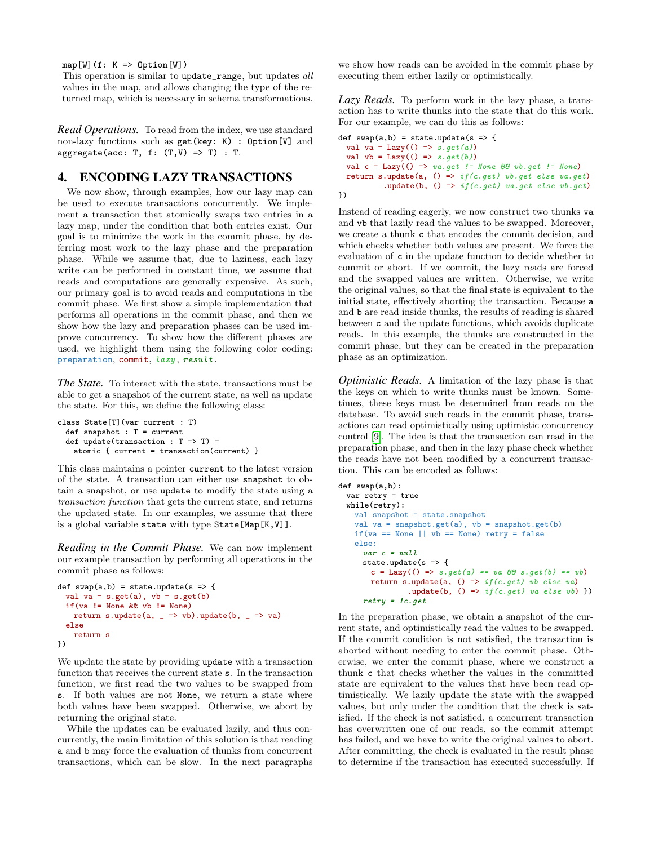$map[W](f: K \Rightarrow Option[W])$ 

This operation is similar to update\_range, but updates all values in the map, and allows changing the type of the returned map, which is necessary in schema transformations.

*Read Operations.* To read from the index, we use standard non-lazy functions such as get(key: K) : Option[V] and  $aggregate(acc: T, f: (T, V) \Rightarrow T) : T.$ 

# <span id="page-3-0"></span>4. ENCODING LAZY TRANSACTIONS

We now show, through examples, how our lazy map can be used to execute transactions concurrently. We implement a transaction that atomically swaps two entries in a lazy map, under the condition that both entries exist. Our goal is to minimize the work in the commit phase, by deferring most work to the lazy phase and the preparation phase. While we assume that, due to laziness, each lazy write can be performed in constant time, we assume that reads and computations are generally expensive. As such, our primary goal is to avoid reads and computations in the commit phase. We first show a simple implementation that performs all operations in the commit phase, and then we show how the lazy and preparation phases can be used improve concurrency. To show how the different phases are used, we highlight them using the following color coding: preparation, commit, lazy, result.

*The State.* To interact with the state, transactions must be able to get a snapshot of the current state, as well as update the state. For this, we define the following class:

```
class State[T](var current : T)
 def snapshot : T = currentdef update(transaction : T => T) =
   atomic { current = transaction(current) }
```
This class maintains a pointer current to the latest version of the state. A transaction can either use snapshot to obtain a snapshot, or use update to modify the state using a transaction function that gets the current state, and returns the updated state. In our examples, we assume that there is a global variable state with type State[Map[K,V]].

*Reading in the Commit Phase.* We can now implement our example transaction by performing all operations in the commit phase as follows:

```
def swap(a,b) = state.update(s => {val va = s.get(a), vb = s.get(b)if(va != None k& vb != None)
   return s.update(a, = > vb).update(b, = > va)
 else
   return s
})
```
We update the state by providing update with a transaction function that receives the current state s. In the transaction function, we first read the two values to be swapped from s. If both values are not None, we return a state where both values have been swapped. Otherwise, we abort by returning the original state.

While the updates can be evaluated lazily, and thus concurrently, the main limitation of this solution is that reading a and b may force the evaluation of thunks from concurrent transactions, which can be slow. In the next paragraphs we show how reads can be avoided in the commit phase by executing them either lazily or optimistically.

*Lazy Reads.* To perform work in the lazy phase, a transaction has to write thunks into the state that do this work. For our example, we can do this as follows:

```
def swap(a,b) = state.update(s => {val va = Lazy(() => s.get(a))
  val vb = Lazy(() => s.get(b))
  val c = \text{Lazy}(() \Rightarrow va.get != None \& vb.get != None)return s.update(a, () \Rightarrow if(c.get) vb.get else va.get)
           .update(b, () \Rightarrow if(c.get) va.get else vb.get)})
```
Instead of reading eagerly, we now construct two thunks va and vb that lazily read the values to be swapped. Moreover, we create a thunk c that encodes the commit decision, and which checks whether both values are present. We force the evaluation of c in the update function to decide whether to commit or abort. If we commit, the lazy reads are forced and the swapped values are written. Otherwise, we write the original values, so that the final state is equivalent to the initial state, effectively aborting the transaction. Because a and b are read inside thunks, the results of reading is shared between c and the update functions, which avoids duplicate reads. In this example, the thunks are constructed in the commit phase, but they can be created in the preparation phase as an optimization.

*Optimistic Reads.* A limitation of the lazy phase is that the keys on which to write thunks must be known. Sometimes, these keys must be determined from reads on the database. To avoid such reads in the commit phase, transactions can read optimistically using optimistic concurrency control [\[9\]](#page-9-1). The idea is that the transaction can read in the preparation phase, and then in the lazy phase check whether the reads have not been modified by a concurrent transaction. This can be encoded as follows:

```
def swap(a,b):
  var retry = true
  while(retry):
    val snapshot = state.snapshot
    val va = snapshot.get(a), vb = snapshot.get(b)
    if(va == None || vb == None) retry = false
    else:
      var c = nullstate.update(s => {
        c = Lazy(() => s.get(a) == va \theta\theta s.get(b) == vb)
        return s.update(a, () \Rightarrow if(c.get) vb else va)
                 .update(b, () \Rightarrow if(c.get) \text{ va else } vb)})
      retry = lc.get
```
In the preparation phase, we obtain a snapshot of the current state, and optimistically read the values to be swapped. If the commit condition is not satisfied, the transaction is aborted without needing to enter the commit phase. Otherwise, we enter the commit phase, where we construct a thunk c that checks whether the values in the committed state are equivalent to the values that have been read optimistically. We lazily update the state with the swapped values, but only under the condition that the check is satisfied. If the check is not satisfied, a concurrent transaction has overwritten one of our reads, so the commit attempt has failed, and we have to write the original values to abort. After committing, the check is evaluated in the result phase to determine if the transaction has executed successfully. If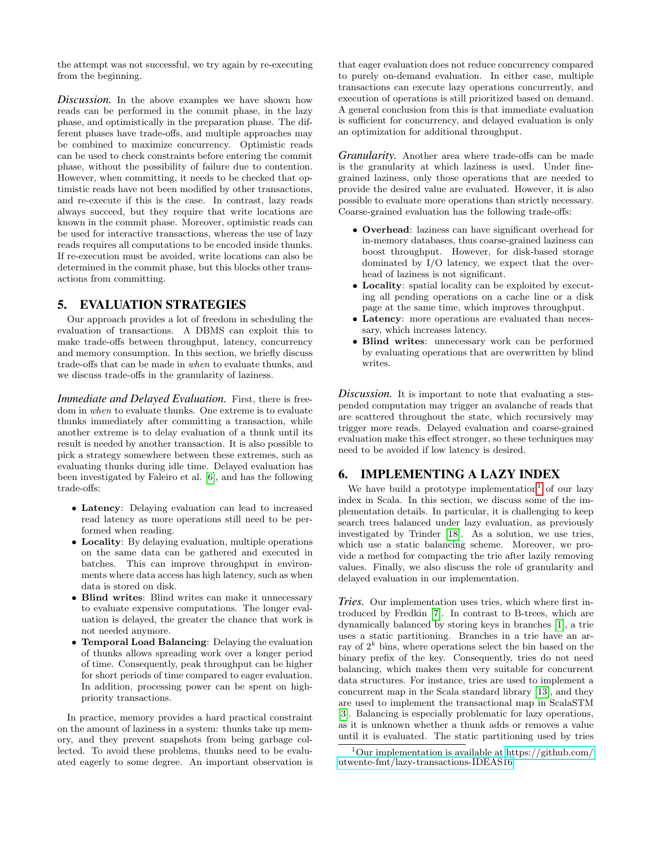the attempt was not successful, we try again by re-executing from the beginning.

*Discussion.* In the above examples we have shown how reads can be performed in the commit phase, in the lazy phase, and optimistically in the preparation phase. The different phases have trade-offs, and multiple approaches may be combined to maximize concurrency. Optimistic reads can be used to check constraints before entering the commit phase, without the possibility of failure due to contention. However, when committing, it needs to be checked that optimistic reads have not been modified by other transactions, and re-execute if this is the case. In contrast, lazy reads always succeed, but they require that write locations are known in the commit phase. Moreover, optimistic reads can be used for interactive transactions, whereas the use of lazy reads requires all computations to be encoded inside thunks. If re-execution must be avoided, write locations can also be determined in the commit phase, but this blocks other transactions from committing.

# <span id="page-4-0"></span>5. EVALUATION STRATEGIES

Our approach provides a lot of freedom in scheduling the evaluation of transactions. A DBMS can exploit this to make trade-offs between throughput, latency, concurrency and memory consumption. In this section, we briefly discuss trade-offs that can be made in when to evaluate thunks, and we discuss trade-offs in the granularity of laziness.

*Immediate and Delayed Evaluation.* First, there is freedom in when to evaluate thunks. One extreme is to evaluate thunks immediately after committing a transaction, while another extreme is to delay evaluation of a thunk until its result is needed by another transaction. It is also possible to pick a strategy somewhere between these extremes, such as evaluating thunks during idle time. Delayed evaluation has been investigated by Faleiro et al. [\[6\]](#page-9-7), and has the following trade-offs:

- Latency: Delaying evaluation can lead to increased read latency as more operations still need to be performed when reading.
- Locality: By delaying evaluation, multiple operations on the same data can be gathered and executed in batches. This can improve throughput in environments where data access has high latency, such as when data is stored on disk.
- Blind writes: Blind writes can make it unnecessary to evaluate expensive computations. The longer evaluation is delayed, the greater the chance that work is not needed anymore.
- Temporal Load Balancing: Delaying the evaluation of thunks allows spreading work over a longer period of time. Consequently, peak throughput can be higher for short periods of time compared to eager evaluation. In addition, processing power can be spent on highpriority transactions.

In practice, memory provides a hard practical constraint on the amount of laziness in a system: thunks take up memory, and they prevent snapshots from being garbage collected. To avoid these problems, thunks need to be evaluated eagerly to some degree. An important observation is that eager evaluation does not reduce concurrency compared to purely on-demand evaluation. In either case, multiple transactions can execute lazy operations concurrently, and execution of operations is still prioritized based on demand. A general conclusion from this is that immediate evaluation is sufficient for concurrency, and delayed evaluation is only an optimization for additional throughput.

*Granularity.* Another area where trade-offs can be made is the granularity at which laziness is used. Under finegrained laziness, only those operations that are needed to provide the desired value are evaluated. However, it is also possible to evaluate more operations than strictly necessary. Coarse-grained evaluation has the following trade-offs:

- Overhead: laziness can have significant overhead for in-memory databases, thus coarse-grained laziness can boost throughput. However, for disk-based storage dominated by I/O latency, we expect that the overhead of laziness is not significant.
- Locality: spatial locality can be exploited by executing all pending operations on a cache line or a disk page at the same time, which improves throughput.
- Latency: more operations are evaluated than necessary, which increases latency.
- Blind writes: unnecessary work can be performed by evaluating operations that are overwritten by blind writes.

*Discussion.* It is important to note that evaluating a suspended computation may trigger an avalanche of reads that are scattered throughout the state, which recursively may trigger more reads. Delayed evaluation and coarse-grained evaluation make this effect stronger, so these techniques may need to be avoided if low latency is desired.

# <span id="page-4-1"></span>6. IMPLEMENTING A LAZY INDEX

We have build a prototype implementation<sup>[1](#page-4-2)</sup> of our lazy index in Scala. In this section, we discuss some of the implementation details. In particular, it is challenging to keep search trees balanced under lazy evaluation, as previously investigated by Trinder [\[18\]](#page-9-8). As a solution, we use tries, which use a static balancing scheme. Moreover, we provide a method for compacting the trie after lazily removing values. Finally, we also discuss the role of granularity and delayed evaluation in our implementation.

*Tries.* Our implementation uses tries, which where first introduced by Fredkin [\[7\]](#page-9-9). In contrast to B-trees, which are dynamically balanced by storing keys in branches [\[1\]](#page-9-5), a trie uses a static partitioning. Branches in a trie have an array of  $2^k$  bins, where operations select the bin based on the binary prefix of the key. Consequently, tries do not need balancing, which makes them very suitable for concurrent data structures. For instance, tries are used to implement a concurrent map in the Scala standard library [\[13\]](#page-9-10), and they are used to implement the transactional map in ScalaSTM [\[3\]](#page-9-11). Balancing is especially problematic for lazy operations, as it is unknown whether a thunk adds or removes a value until it is evaluated. The static partitioning used by tries

<span id="page-4-2"></span><sup>&</sup>lt;sup>1</sup>Our implementation is available at [https://github.com/](https://github.com/utwente-fmt/lazy-transactions-IDEAS16) [utwente-fmt/lazy-transactions-IDEAS16](https://github.com/utwente-fmt/lazy-transactions-IDEAS16)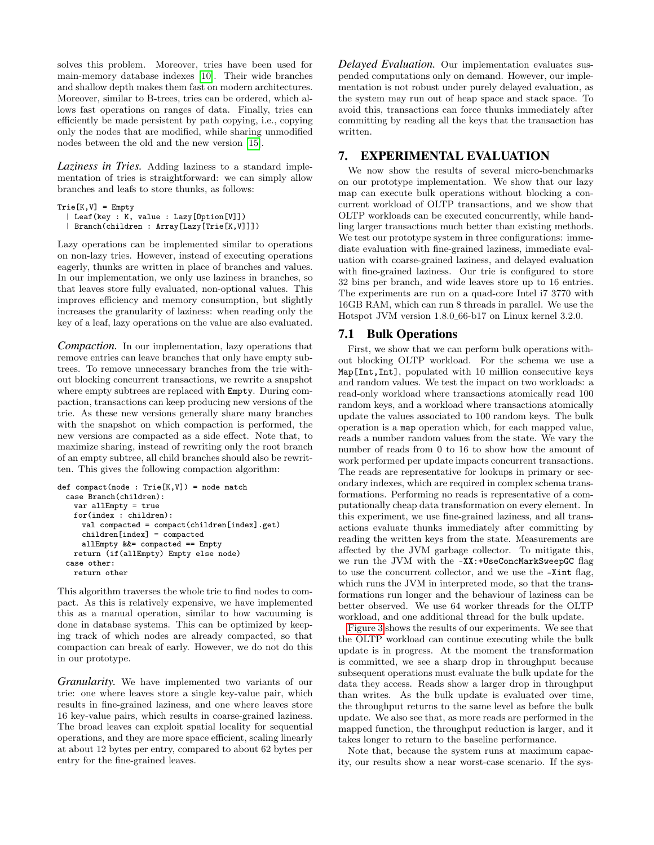solves this problem. Moreover, tries have been used for main-memory database indexes [\[10\]](#page-9-12). Their wide branches and shallow depth makes them fast on modern architectures. Moreover, similar to B-trees, tries can be ordered, which allows fast operations on ranges of data. Finally, tries can efficiently be made persistent by path copying, i.e., copying only the nodes that are modified, while sharing unmodified nodes between the old and the new version [\[15\]](#page-9-6).

*Laziness in Tries.* Adding laziness to a standard implementation of tries is straightforward: we can simply allow branches and leafs to store thunks, as follows:

```
Trie[K,V] = Empty
 | Leaf(key : K, value : Lazy[Option[V]])
 | Branch(children : Array[Lazy[Trie[K,V]]])
```
Lazy operations can be implemented similar to operations on non-lazy tries. However, instead of executing operations eagerly, thunks are written in place of branches and values. In our implementation, we only use laziness in branches, so that leaves store fully evaluated, non-optional values. This improves efficiency and memory consumption, but slightly increases the granularity of laziness: when reading only the key of a leaf, lazy operations on the value are also evaluated.

*Compaction.* In our implementation, lazy operations that remove entries can leave branches that only have empty subtrees. To remove unnecessary branches from the trie without blocking concurrent transactions, we rewrite a snapshot where empty subtrees are replaced with Empty. During compaction, transactions can keep producing new versions of the trie. As these new versions generally share many branches with the snapshot on which compaction is performed, the new versions are compacted as a side effect. Note that, to maximize sharing, instead of rewriting only the root branch of an empty subtree, all child branches should also be rewritten. This gives the following compaction algorithm:

```
def compact(node : Trie[K,V]) = node match
 case Branch(children):
   var allEmpty = true
   for(index : children):
     val compacted = compact(children[index].get)
     children[index] = compacted
     allEmpty &&= compacted == Empty
   return (if(allEmpty) Empty else node)
 case other:
   return other
```
This algorithm traverses the whole trie to find nodes to compact. As this is relatively expensive, we have implemented this as a manual operation, similar to how vacuuming is done in database systems. This can be optimized by keeping track of which nodes are already compacted, so that compaction can break of early. However, we do not do this in our prototype.

*Granularity.* We have implemented two variants of our trie: one where leaves store a single key-value pair, which results in fine-grained laziness, and one where leaves store 16 key-value pairs, which results in coarse-grained laziness. The broad leaves can exploit spatial locality for sequential operations, and they are more space efficient, scaling linearly at about 12 bytes per entry, compared to about 62 bytes per entry for the fine-grained leaves.

*Delayed Evaluation.* Our implementation evaluates suspended computations only on demand. However, our implementation is not robust under purely delayed evaluation, as the system may run out of heap space and stack space. To avoid this, transactions can force thunks immediately after committing by reading all the keys that the transaction has written.

# <span id="page-5-0"></span>7. EXPERIMENTAL EVALUATION

We now show the results of several micro-benchmarks on our prototype implementation. We show that our lazy map can execute bulk operations without blocking a concurrent workload of OLTP transactions, and we show that OLTP workloads can be executed concurrently, while handling larger transactions much better than existing methods. We test our prototype system in three configurations: immediate evaluation with fine-grained laziness, immediate evaluation with coarse-grained laziness, and delayed evaluation with fine-grained laziness. Our trie is configured to store 32 bins per branch, and wide leaves store up to 16 entries. The experiments are run on a quad-core Intel i7 3770 with 16GB RAM, which can run 8 threads in parallel. We use the Hotspot JVM version 1.8.0 66-b17 on Linux kernel 3.2.0.

# 7.1 Bulk Operations

First, we show that we can perform bulk operations without blocking OLTP workload. For the schema we use a Map[Int,Int], populated with 10 million consecutive keys and random values. We test the impact on two workloads: a read-only workload where transactions atomically read 100 random keys, and a workload where transactions atomically update the values associated to 100 random keys. The bulk operation is a map operation which, for each mapped value, reads a number random values from the state. We vary the number of reads from 0 to 16 to show how the amount of work performed per update impacts concurrent transactions. The reads are representative for lookups in primary or secondary indexes, which are required in complex schema transformations. Performing no reads is representative of a computationally cheap data transformation on every element. In this experiment, we use fine-grained laziness, and all transactions evaluate thunks immediately after committing by reading the written keys from the state. Measurements are affected by the JVM garbage collector. To mitigate this, we run the JVM with the -XX:+UseConcMarkSweepGC flag to use the concurrent collector, and we use the -Xint flag, which runs the JVM in interpreted mode, so that the transformations run longer and the behaviour of laziness can be better observed. We use 64 worker threads for the OLTP workload, and one additional thread for the bulk update.

[Figure 3](#page-6-0) shows the results of our experiments. We see that the OLTP workload can continue executing while the bulk update is in progress. At the moment the transformation is committed, we see a sharp drop in throughput because subsequent operations must evaluate the bulk update for the data they access. Reads show a larger drop in throughput than writes. As the bulk update is evaluated over time, the throughput returns to the same level as before the bulk update. We also see that, as more reads are performed in the mapped function, the throughput reduction is larger, and it takes longer to return to the baseline performance.

Note that, because the system runs at maximum capacity, our results show a near worst-case scenario. If the sys-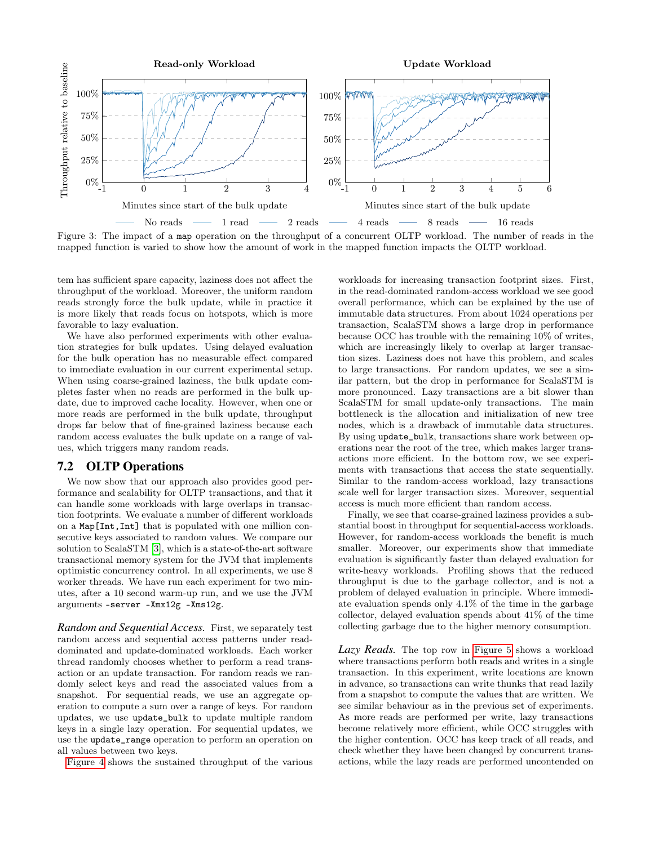<span id="page-6-0"></span>

Figure 3: The impact of a map operation on the throughput of a concurrent OLTP workload. The number of reads in the mapped function is varied to show how the amount of work in the mapped function impacts the OLTP workload.

tem has sufficient spare capacity, laziness does not affect the throughput of the workload. Moreover, the uniform random reads strongly force the bulk update, while in practice it is more likely that reads focus on hotspots, which is more favorable to lazy evaluation.

We have also performed experiments with other evaluation strategies for bulk updates. Using delayed evaluation for the bulk operation has no measurable effect compared to immediate evaluation in our current experimental setup. When using coarse-grained laziness, the bulk update completes faster when no reads are performed in the bulk update, due to improved cache locality. However, when one or more reads are performed in the bulk update, throughput drops far below that of fine-grained laziness because each random access evaluates the bulk update on a range of values, which triggers many random reads.

## 7.2 OLTP Operations

We now show that our approach also provides good performance and scalability for OLTP transactions, and that it can handle some workloads with large overlaps in transaction footprints. We evaluate a number of different workloads on a Map[Int,Int] that is populated with one million consecutive keys associated to random values. We compare our solution to ScalaSTM [\[3\]](#page-9-11), which is a state-of-the-art software transactional memory system for the JVM that implements optimistic concurrency control. In all experiments, we use 8 worker threads. We have run each experiment for two minutes, after a 10 second warm-up run, and we use the JVM arguments -server -Xmx12g -Xms12g.

*Random and Sequential Access.* First, we separately test random access and sequential access patterns under readdominated and update-dominated workloads. Each worker thread randomly chooses whether to perform a read transaction or an update transaction. For random reads we randomly select keys and read the associated values from a snapshot. For sequential reads, we use an aggregate operation to compute a sum over a range of keys. For random updates, we use update\_bulk to update multiple random keys in a single lazy operation. For sequential updates, we use the update\_range operation to perform an operation on all values between two keys.

[Figure 4](#page-7-0) shows the sustained throughput of the various

workloads for increasing transaction footprint sizes. First, in the read-dominated random-access workload we see good overall performance, which can be explained by the use of immutable data structures. From about 1024 operations per transaction, ScalaSTM shows a large drop in performance because OCC has trouble with the remaining 10% of writes, which are increasingly likely to overlap at larger transaction sizes. Laziness does not have this problem, and scales to large transactions. For random updates, we see a similar pattern, but the drop in performance for ScalaSTM is more pronounced. Lazy transactions are a bit slower than ScalaSTM for small update-only transactions. The main bottleneck is the allocation and initialization of new tree nodes, which is a drawback of immutable data structures. By using update\_bulk, transactions share work between operations near the root of the tree, which makes larger transactions more efficient. In the bottom row, we see experiments with transactions that access the state sequentially. Similar to the random-access workload, lazy transactions scale well for larger transaction sizes. Moreover, sequential access is much more efficient than random access.

Finally, we see that coarse-grained laziness provides a substantial boost in throughput for sequential-access workloads. However, for random-access workloads the benefit is much smaller. Moreover, our experiments show that immediate evaluation is significantly faster than delayed evaluation for write-heavy workloads. Profiling shows that the reduced throughput is due to the garbage collector, and is not a problem of delayed evaluation in principle. Where immediate evaluation spends only 4.1% of the time in the garbage collector, delayed evaluation spends about 41% of the time collecting garbage due to the higher memory consumption.

*Lazy Reads.* The top row in [Figure 5](#page-7-1) shows a workload where transactions perform both reads and writes in a single transaction. In this experiment, write locations are known in advance, so transactions can write thunks that read lazily from a snapshot to compute the values that are written. We see similar behaviour as in the previous set of experiments. As more reads are performed per write, lazy transactions become relatively more efficient, while OCC struggles with the higher contention. OCC has keep track of all reads, and check whether they have been changed by concurrent transactions, while the lazy reads are performed uncontended on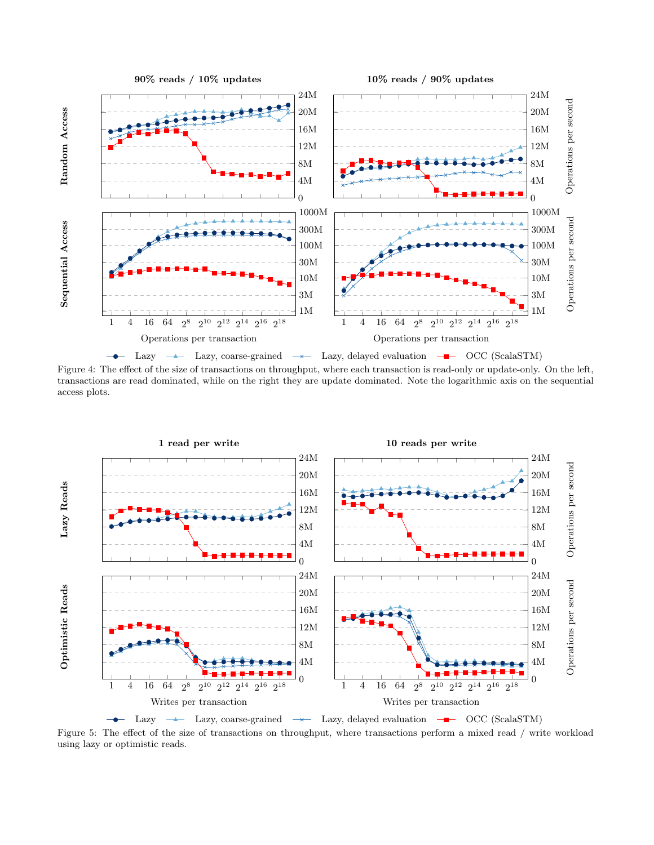<span id="page-7-0"></span>

Figure 4: The effect of the size of transactions on throughput, where each transaction is read-only or update-only. On the left, transactions are read dominated, while on the right they are update dominated. Note the logarithmic axis on the sequential access plots.

<span id="page-7-1"></span>

Lazy  $\rightarrow$  Lazy, coarse-grained  $\rightarrow$  Lazy, delayed evaluation  $\rightarrow$  OCC (ScalaSTM) Figure 5: The effect of the size of transactions on throughput, where transactions perform a mixed read / write workload using lazy or optimistic reads.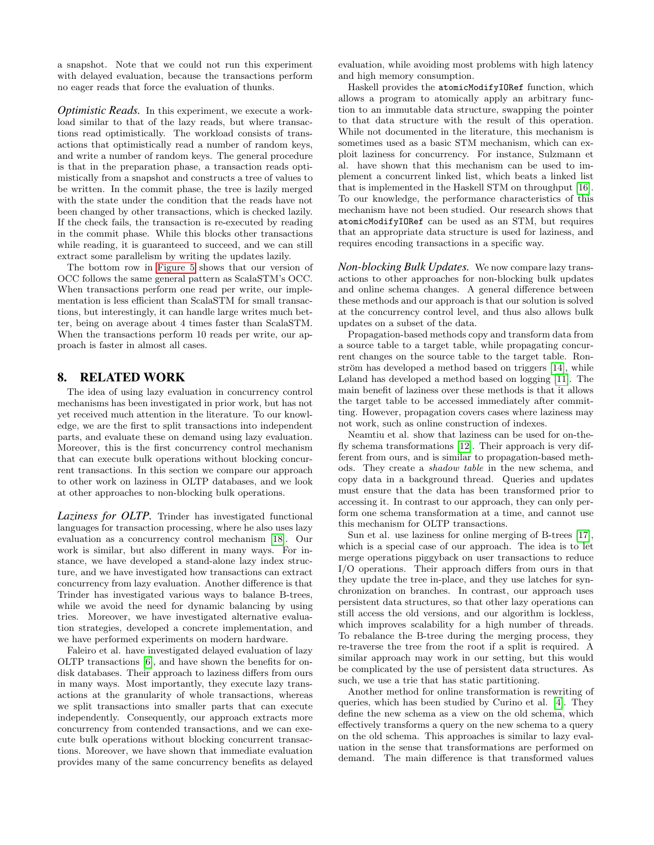a snapshot. Note that we could not run this experiment with delayed evaluation, because the transactions perform no eager reads that force the evaluation of thunks.

*Optimistic Reads.* In this experiment, we execute a workload similar to that of the lazy reads, but where transactions read optimistically. The workload consists of transactions that optimistically read a number of random keys, and write a number of random keys. The general procedure is that in the preparation phase, a transaction reads optimistically from a snapshot and constructs a tree of values to be written. In the commit phase, the tree is lazily merged with the state under the condition that the reads have not been changed by other transactions, which is checked lazily. If the check fails, the transaction is re-executed by reading in the commit phase. While this blocks other transactions while reading, it is guaranteed to succeed, and we can still extract some parallelism by writing the updates lazily.

The bottom row in [Figure 5](#page-7-1) shows that our version of OCC follows the same general pattern as ScalaSTM's OCC. When transactions perform one read per write, our implementation is less efficient than ScalaSTM for small transactions, but interestingly, it can handle large writes much better, being on average about 4 times faster than ScalaSTM. When the transactions perform 10 reads per write, our approach is faster in almost all cases.

#### 8. RELATED WORK

The idea of using lazy evaluation in concurrency control mechanisms has been investigated in prior work, but has not yet received much attention in the literature. To our knowledge, we are the first to split transactions into independent parts, and evaluate these on demand using lazy evaluation. Moreover, this is the first concurrency control mechanism that can execute bulk operations without blocking concurrent transactions. In this section we compare our approach to other work on laziness in OLTP databases, and we look at other approaches to non-blocking bulk operations.

*Laziness for OLTP.* Trinder has investigated functional languages for transaction processing, where he also uses lazy evaluation as a concurrency control mechanism [\[18\]](#page-9-8). Our work is similar, but also different in many ways. For instance, we have developed a stand-alone lazy index structure, and we have investigated how transactions can extract concurrency from lazy evaluation. Another difference is that Trinder has investigated various ways to balance B-trees, while we avoid the need for dynamic balancing by using tries. Moreover, we have investigated alternative evaluation strategies, developed a concrete implementation, and we have performed experiments on modern hardware.

Faleiro et al. have investigated delayed evaluation of lazy OLTP transactions [\[6\]](#page-9-7), and have shown the benefits for ondisk databases. Their approach to laziness differs from ours in many ways. Most importantly, they execute lazy transactions at the granularity of whole transactions, whereas we split transactions into smaller parts that can execute independently. Consequently, our approach extracts more concurrency from contended transactions, and we can execute bulk operations without blocking concurrent transactions. Moreover, we have shown that immediate evaluation provides many of the same concurrency benefits as delayed evaluation, while avoiding most problems with high latency and high memory consumption.

Haskell provides the atomicModifyIORef function, which allows a program to atomically apply an arbitrary function to an immutable data structure, swapping the pointer to that data structure with the result of this operation. While not documented in the literature, this mechanism is sometimes used as a basic STM mechanism, which can exploit laziness for concurrency. For instance, Sulzmann et al. have shown that this mechanism can be used to implement a concurrent linked list, which beats a linked list that is implemented in the Haskell STM on throughput [\[16\]](#page-9-13). To our knowledge, the performance characteristics of this mechanism have not been studied. Our research shows that atomicModifyIORef can be used as an STM, but requires that an appropriate data structure is used for laziness, and requires encoding transactions in a specific way.

*Non-blocking Bulk Updates.* We now compare lazy transactions to other approaches for non-blocking bulk updates and online schema changes. A general difference between these methods and our approach is that our solution is solved at the concurrency control level, and thus also allows bulk updates on a subset of the data.

Propagation-based methods copy and transform data from a source table to a target table, while propagating concurrent changes on the source table to the target table. Ron-ström has developed a method based on triggers [\[14\]](#page-9-14), while Løland has developed a method based on logging [\[11\]](#page-9-15). The main benefit of laziness over these methods is that it allows the target table to be accessed immediately after committing. However, propagation covers cases where laziness may not work, such as online construction of indexes.

Neamtiu et al. show that laziness can be used for on-thefly schema transformations [\[12\]](#page-9-16). Their approach is very different from ours, and is similar to propagation-based methods. They create a shadow table in the new schema, and copy data in a background thread. Queries and updates must ensure that the data has been transformed prior to accessing it. In contrast to our approach, they can only perform one schema transformation at a time, and cannot use this mechanism for OLTP transactions.

Sun et al. use laziness for online merging of B-trees [\[17\]](#page-9-17), which is a special case of our approach. The idea is to let merge operations piggyback on user transactions to reduce I/O operations. Their approach differs from ours in that they update the tree in-place, and they use latches for synchronization on branches. In contrast, our approach uses persistent data structures, so that other lazy operations can still access the old versions, and our algorithm is lockless, which improves scalability for a high number of threads. To rebalance the B-tree during the merging process, they re-traverse the tree from the root if a split is required. A similar approach may work in our setting, but this would be complicated by the use of persistent data structures. As such, we use a trie that has static partitioning.

Another method for online transformation is rewriting of queries, which has been studied by Curino et al. [\[4\]](#page-9-18). They define the new schema as a view on the old schema, which effectively transforms a query on the new schema to a query on the old schema. This approaches is similar to lazy evaluation in the sense that transformations are performed on demand. The main difference is that transformed values